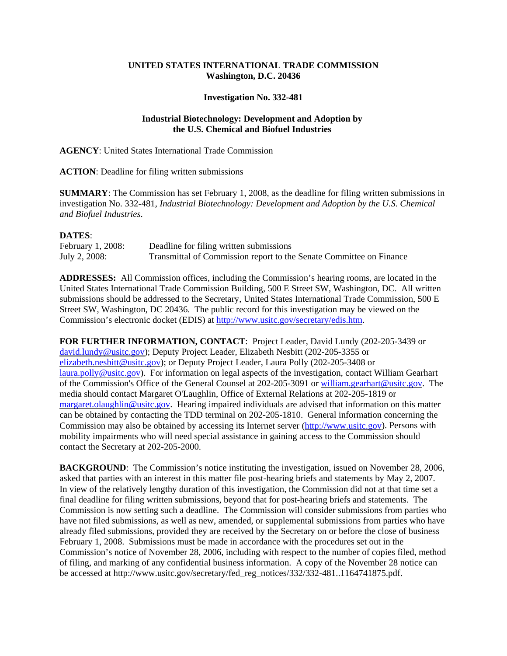## **UNITED STATES INTERNATIONAL TRADE COMMISSION Washington, D.C. 20436**

## **Investigation No. 332-481**

## **Industrial Biotechnology: Development and Adoption by the U.S. Chemical and Biofuel Industries**

**AGENCY**: United States International Trade Commission

**ACTION**: Deadline for filing written submissions

**SUMMARY**: The Commission has set February 1, 2008, as the deadline for filing written submissions in investigation No. 332-481, *Industrial Biotechnology: Development and Adoption by the U.S. Chemical and Biofuel Industries*.

## **DATES**:

| February 1, 2008: | Deadline for filing written submissions                             |
|-------------------|---------------------------------------------------------------------|
| July 2, 2008:     | Transmittal of Commission report to the Senate Committee on Finance |

**ADDRESSES:** All Commission offices, including the Commission's hearing rooms, are located in the United States International Trade Commission Building, 500 E Street SW, Washington, DC. All written submissions should be addressed to the Secretary, United States International Trade Commission, 500 E Street SW, Washington, DC 20436. The public record for this investigation may be viewed on the Commission's electronic docket (EDIS) at http://www.usitc.gov/secretary/edis.htm.

**FOR FURTHER INFORMATION, CONTACT**: Project Leader, David Lundy (202-205-3439 or david.lundy@usitc.gov); Deputy Project Leader, Elizabeth Nesbitt (202-205-3355 or elizabeth.nesbitt@usitc.gov); or Deputy Project Leader, Laura Polly (202-205-3408 or laura.polly@usitc.gov). For information on legal aspects of the investigation, contact William Gearhart of the Commission's Office of the General Counsel at 202-205-3091 or william.gearhart@usitc.gov. The media should contact Margaret O'Laughlin, Office of External Relations at 202-205-1819 or margaret.olaughlin@usitc.gov. Hearing impaired individuals are advised that information on this matter can be obtained by contacting the TDD terminal on 202-205-1810. General information concerning the Commission may also be obtained by accessing its Internet server (http://www.usitc.gov). Persons with mobility impairments who will need special assistance in gaining access to the Commission should contact the Secretary at 202-205-2000.

**BACKGROUND:** The Commission's notice instituting the investigation, issued on November 28, 2006, asked that parties with an interest in this matter file post-hearing briefs and statements by May 2, 2007. In view of the relatively lengthy duration of this investigation, the Commission did not at that time set a final deadline for filing written submissions, beyond that for post-hearing briefs and statements. The Commission is now setting such a deadline. The Commission will consider submissions from parties who have not filed submissions, as well as new, amended, or supplemental submissions from parties who have already filed submissions, provided they are received by the Secretary on or before the close of business February 1, 2008. Submissions must be made in accordance with the procedures set out in the Commission's notice of November 28, 2006, including with respect to the number of copies filed, method of filing, and marking of any confidential business information. A copy of the November 28 notice can be accessed at http://www.usitc.gov/secretary/fed\_reg\_notices/332/332-481..1164741875.pdf.